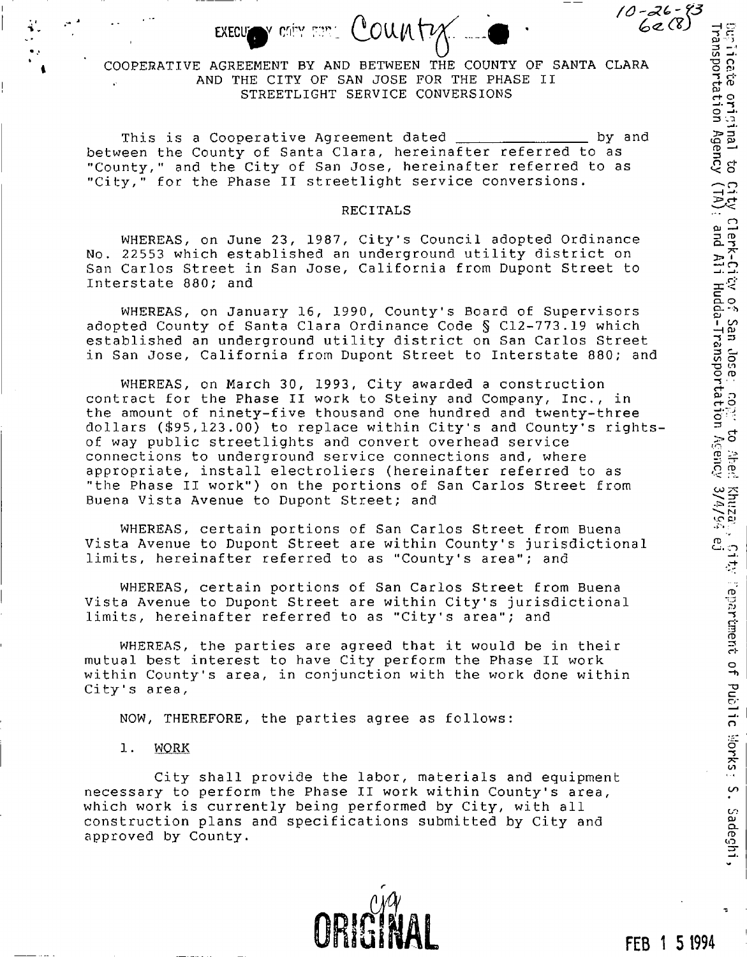## COOPERATIVE AGREEMENT BY AND BETWEEN THE COUNTY OF SANTA CLARA AND THE CITY OF SAN JOSE FOR THE PHASE II STREETLIGHT SERVICE CONVERSIONS

This is a Cooperative Agreement dated **by and** by and between the County of Santa Clara, hereinafter referred to as "County," and the City of San Jose, hereinafter referred to as "City," for the Phase II streetlight service conversions.

#### RECITALS

WHEREAS, on June 23, 1987, City's Council adopted Ordinance No. 22553 which established an underground utility district on San Carlos Street in San Jose, California from Dupont Street to Interstate 880; and

WHEREAS, on January 16, 1990, County's Board of Supervisors adopted County of Santa Clara Ordinance Code § C12-773.19 which established an underground utility district on San Carlos Street in San Jose, California from Dupont Street to Interstate 880; and

WHEREAS, on March 30, 1993, City awarded a construction contract for the Phase II work to Steiny and Company, Inc., in the amount of ninety-five thousand one hundred and twenty-three dollars (\$95,123.00) to replace within City's and County's rightsof way public streetlights and convert overhead service connections to underground service connections and, where appropriate, install electroliers (hereinafter referred to as "the Phase II work") on the portions of San Carlos Street from Buena Vista Avenue to Dupont Street; and

WHEREAS, certain portions of San Carlos Street from Buena Vista Avenue to Dupont Street are within County's jurisdictional limits, hereinafter referred to as "County's area"; and

WHEREAS, certain portions of San Carlos Street from Buena Vista Avenue to Dupont Street are within City's jurisdictional limits, hereinafter referred to as "City's area"; and

WHEREAS, the parties are agreed that it would be in their mutual best interest to have City perform the Phase II work within County's area, in conjunction with the work done within City's area,

NOW, THEREFORE, the parties agree as follows:

## 1. WORK

City shall provide the labor, materials and equipment necessary to perform the Phase II work within County's area, which work is currently being performed by City, with all construction plans and specifications submitted by City and approved by County.

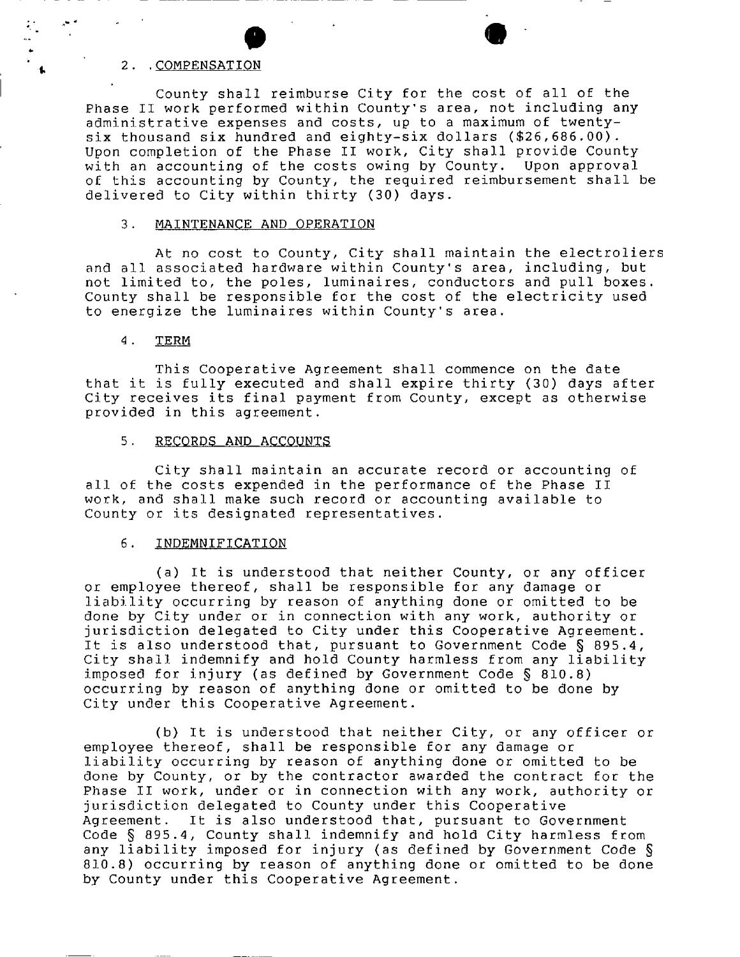#### 2. .COMPENSATION

County shall reimburse City for the cost of all of the Phase II work performed within County's area, not including any administrative expenses and costs, up to a maximum of twentysix thousand six hundred and eighty-six dollars (\$26,686.00). Upon completion of the Phase II work, City shall provide County with an accounting of the costs owing by County. Upon approval of this accounting by County, the required reimbursement shall be delivered to City within thirty (30) days.

#### 3. MAINTENANCE AND OPERATION

At no cost to County, City shall maintain the electroliers and all associated hardware within County's area, including, but not limited to, the poles, luminaires, conductors and pull boxes. County shall be responsible for the cost of the electricity used to energize the luminaires within County's area.

#### 4. TERM

This Cooperative Agreement shall commence on the date that it is fully executed and shall expire thirty (30) days after City receives its final payment from County, except as otherwise provided in this agreement.

#### 5. RECORDS AND ACCOUNTS

City shall maintain an accurate record or accounting of all of the costs expended in the performance of the Phase II work, and shall make such record or accounting available to County or its designated representatives.

### 6. INDEMNIFICATION

(a) It is understood that neither County, or any officer or employee thereof, shall be responsible for any damage or liability occurring by reason of anything done or omitted to be done by City under or in connection with any work, authority or jurisdiction delegated to City under this Cooperative Agreement. It is also understood that, pursuant to Government Code § 895.4, City shall indemnify and hold County harmless from any liability imposed for injury (as defined by Government Code § 810.8) occurring by reason of anything done or omitted to be done by City under this Cooperative Agreement.

(b) It is understood that neither City, or any officer or employee thereof, shall be responsible for any damage or liability occurring by reason of anything done or omitted to be done by County, or by the contractor awarded the contract for the Phase II work, under or in connection with any work, authority or jurisdiction delegated to County under this Cooperative Agreement. It is also understood that, pursuant to Government Code § 895.4, County shall indemnify and hold City harmless from any liability imposed for injury (as defined by Government Code § 810.8) occurring by reason of anything done or omitted to be done by County under this Cooperative Agreement.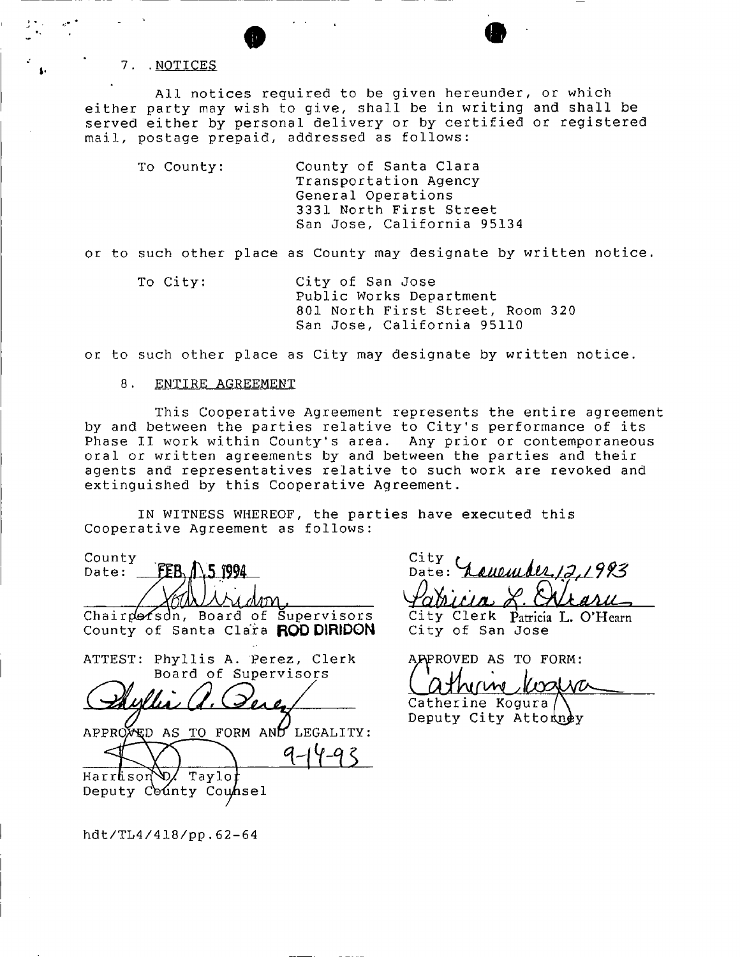7. NOTICES

All notices required to be given hereunder, or which either party may wish to give, shall be in writing and shall be served either by personal delivery or by certified or registered mail, postage prepaid, addressed as follows:

 $\bullet$   $\bullet$ 

To County: County of Santa Clara Transportation Agency General Operations 3331 North First Street San Jose, California 95134

or to such other place as County may designate by written notice.

To City: City of San Jose Public Works Department 801 North First Street, Room 320 San Jose, California 95110

or to such other place as City may designate by written notice.

## 8. ENTIRE AGREEMENT

This Cooperative Agreement represents the entire agreement by and between the parties relative to City's performance of its Phase II work within County's area. Any prior or contemporaneous oral or written agreements by and between the parties and their agents and representatives relative to such work are revoked and extinguished by this Cooperative Agreement.

IN WITNESS WHEREOF, the parties have executed this Cooperative Agreement as follows:

County FER. 1\5 1994 Date: *OtkjAMrkrYi,*  Chairporson, Board of Supervisors County of Santa Clara **ROD DIRIDON** ATTEST: Phyllis A. Perez, Clerk Board of Supervisors  $d$  *where* (*d.* ) energy APPROVED AS TO FORM AND LEGALITY: Harrason D/ Taylo Deputy County Counsel

City Date: *^PalkkM/u* >f-

City Clerk Patricia L. O'Hearn City of San Jose

APPROVED AS TO FORM:

lostra 11*rv* 

Catherine Kogura Deputy City Attorney

hdt/TL4/418/pp.62-64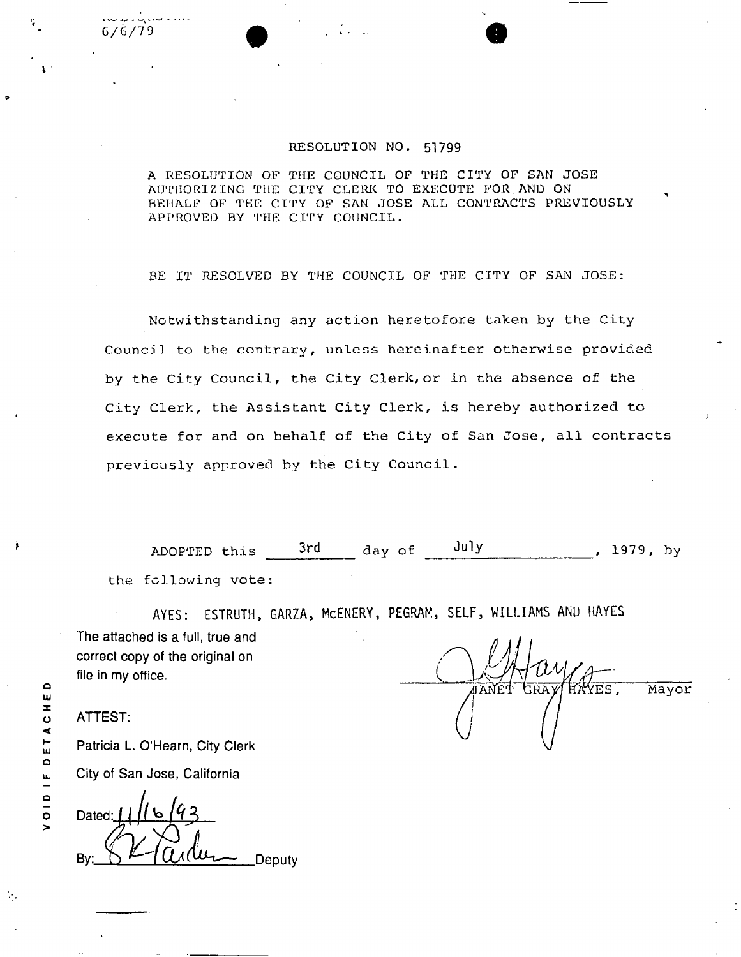# 6/6/79

#### RESOLUTION NO. **51799**

A RESOLUTION OF THE COUNCIL OF THE CITY OF SAN JOSE AUTHORIZING THE CITY CLERK TO EXECUTE FOR.AND ON BEHALF OF THE CITY OF SAN JOSE ALL CONTRACTS PREVIOUSLY APPROVED BY THE CITY COUNCIL.

BE IT RESOLVED BY THE COUNCIL OF THE CITY OF SAN JOSE:

Notwithstanding any action heretofore taken by the City Council to the contrary, unless hereinafter otherwise provided by the City Council, the City Clerk,or in the absence of the City Clerk, the Assistant City Clerk, is hereby authorized to execute for and on behalf of the City of San Jose, all contracts previously approved by the City Council.

ADOPTED this 3rd day of July , 1979, by the following vote:

AYES: ESTRUTH, GARZA, McENERY, PEGRAM, SELF, WILLIAMS AND HAYES **The attached is a full, true and correct copy of the original on file in my office.** 

YES , GRAY Mayor

**ATTEST:** 

 $\Omega$ 

VOID IF DETACHE

**Patricia L. O'Hearn, City Clerk City of San Jose, California** 

Dated: Deputy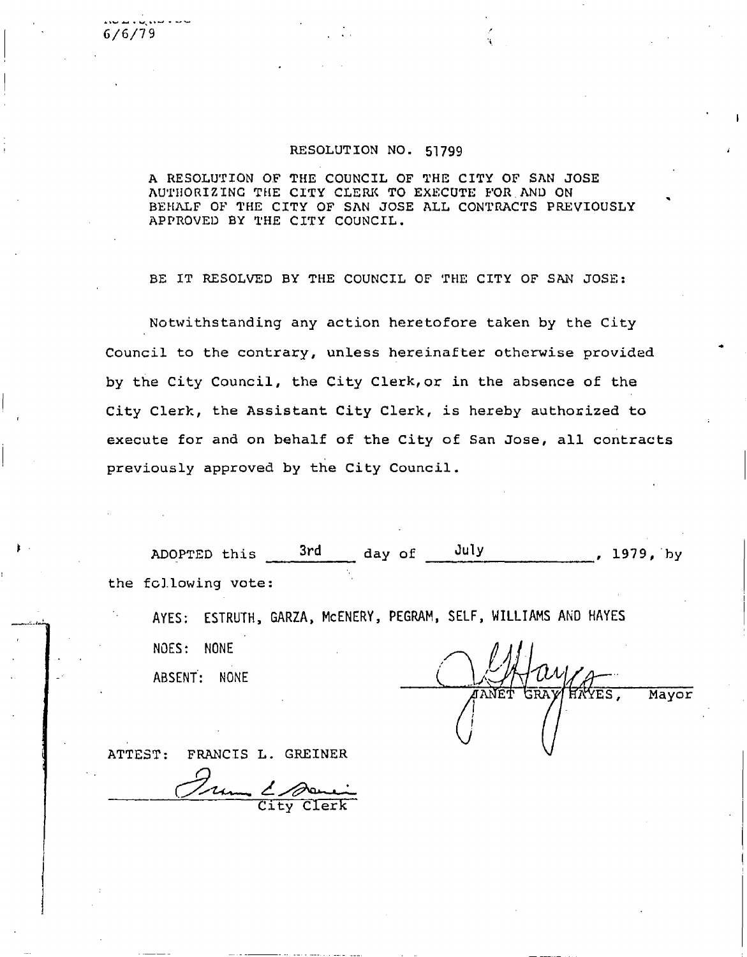**6/6/79** 

#### **RESOLUTION NO.** 51799

**A RESOLUTION OF THE COUNCIL OF THE CITY OF SAN JOSE AUTHORIZING THE CITY CLERK TO EXECUTE FOR AND ON BEHALF OF THE CITY OF SAN JOSE ALL CONTRACTS PREVIOUSLY APPROVED BY THE CITY COUNCIL.** 

**BE IT RESOLVED BY THE COUNCIL OF THE CITY OF SAN JOSE:** 

**Notwithstanding any action heretofore taken by the City Council to the contrary, unless hereinafter otherwise provided by the City Council, the City Clerk,or in the absence of the City Clerk, the Assistant City Clerk, is hereby authorized to execute for and on behalf of the City of San Jose, all contracts previously approved by the City Council.** 

ADOPTED this  $\frac{3rd}{r}$  day of  $\frac{July}{r}$ , 1979, by **the following vote:** 

AYES: ESTRUTH, GARZA, McENERY, PEGRAM, SELF, WILLIAMS AND HAYES

NOES: NONE

ABSENT: NONE

VES. **Mayor** 

**ATTEST: FRANCIS L. GREINER** 

**City Clerk**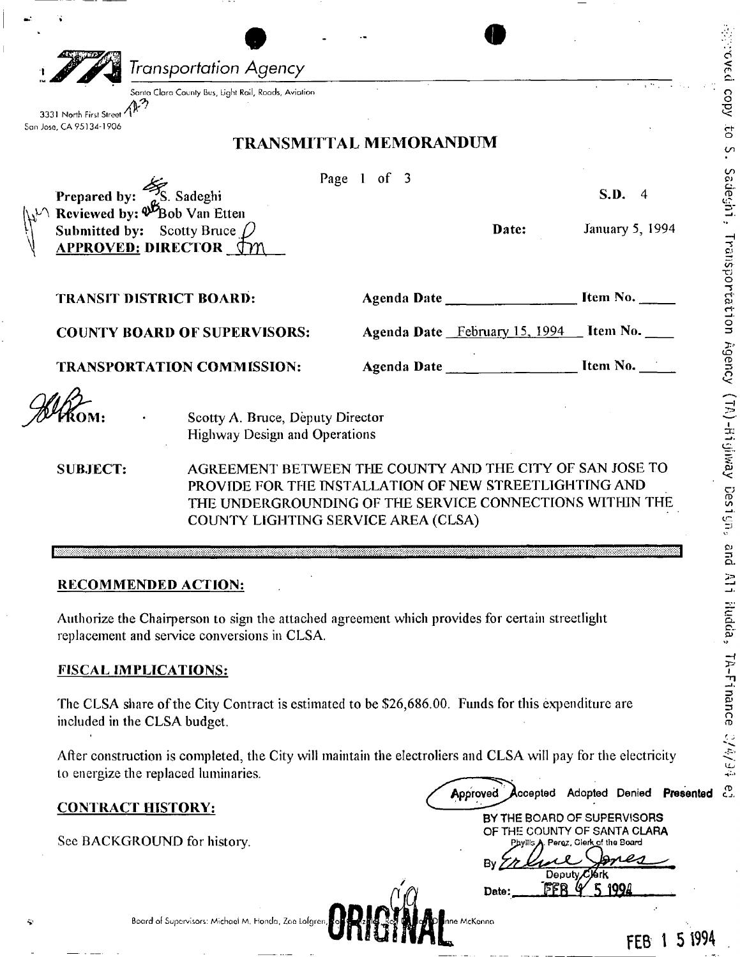|                                                                                                                      | Transportation Agency<br>Santa Clara County Bus, Light Rail, Roads, Aviation |                                                                                                                    |                                                                                                                     |
|----------------------------------------------------------------------------------------------------------------------|------------------------------------------------------------------------------|--------------------------------------------------------------------------------------------------------------------|---------------------------------------------------------------------------------------------------------------------|
| 3331 North First Stree                                                                                               |                                                                              |                                                                                                                    |                                                                                                                     |
| San Jose, CA 95134-1906                                                                                              |                                                                              | <b>TRANSMITTAL MEMORANDUM</b>                                                                                      |                                                                                                                     |
|                                                                                                                      |                                                                              | Page 1 of 3                                                                                                        |                                                                                                                     |
| Prepared by: $\frac{3}{2}$ S. Sadeghi<br>$\mathbb{R}^{\mathbb{Z}}$ Reviewed by: $\mathcal{B}_{\text{Bob Van Etten}}$ |                                                                              |                                                                                                                    | S.D.<br>$\sqrt{4}$                                                                                                  |
| Submitted by: Scotty Bruce<br><b>APPROVED: DIRECTOR TY</b>                                                           |                                                                              | Date:                                                                                                              | <b>January 5, 1994</b>                                                                                              |
| <b>TRANSIT DISTRICT BOARD:</b>                                                                                       |                                                                              | Agenda Date                                                                                                        | Item No.                                                                                                            |
| <b>COUNTY BOARD OF SUPERVISORS:</b>                                                                                  |                                                                              | Agenda Date February 15, 1994 Ltem No.                                                                             |                                                                                                                     |
|                                                                                                                      | <b>TRANSPORTATION COMMISSION:</b>                                            | Agenda Date ______________________ Item No.                                                                        |                                                                                                                     |
|                                                                                                                      |                                                                              |                                                                                                                    |                                                                                                                     |
|                                                                                                                      |                                                                              |                                                                                                                    |                                                                                                                     |
| <b>SUBJECT:</b>                                                                                                      | Scotty A. Bruce, Deputy Director<br><b>Highway Design and Operations</b>     | AGREEMENT BETWEEN THE COUNTY AND THE CITY OF SAN JOSE TO                                                           |                                                                                                                     |
|                                                                                                                      | COUNTY LIGHTING SERVICE AREA (CLSA)                                          | PROVIDE FOR THE INSTALLATION OF NEW STREETLIGHTING AND<br>THE UNDERGROUNDING OF THE SERVICE CONNECTIONS WITHIN THE |                                                                                                                     |
| <b>RECOMMENDED ACTION:</b>                                                                                           |                                                                              |                                                                                                                    |                                                                                                                     |
|                                                                                                                      | replacement and service conversions in CLSA.                                 | Authorize the Chairperson to sign the attached agreement which provides for certain streetlight                    |                                                                                                                     |
| <b>FISCAL IMPLICATIONS:</b>                                                                                          |                                                                              |                                                                                                                    |                                                                                                                     |
| included in the CLSA budget.                                                                                         |                                                                              | The CLSA share of the City Contract is estimated to be \$26,686.00. Funds for this expenditure are                 |                                                                                                                     |
| to energize the replaced luminaries.                                                                                 |                                                                              | After construction is completed, the City will maintain the electroliers and CLSA will pay for the electricity     |                                                                                                                     |
| <u>CONTRACT HISTORY:</u>                                                                                             |                                                                              | Approved                                                                                                           | Accepted Adopted Denied Presented                                                                                   |
| See BACKGROUND for history.                                                                                          |                                                                              | By                                                                                                                 | BY THE BOARD OF SUPERVISORS<br>OF THE COUNTY OF SANTA CLARA<br>Phyllis A. Peroz, Cierk of the Board<br>Deputy Clerk |

 $\ddot{\phantom{0}}$ 

 $\ddot{\phantom{1}}$ 

 $\overline{1}$ 

 $\ddot{\phantom{0}}$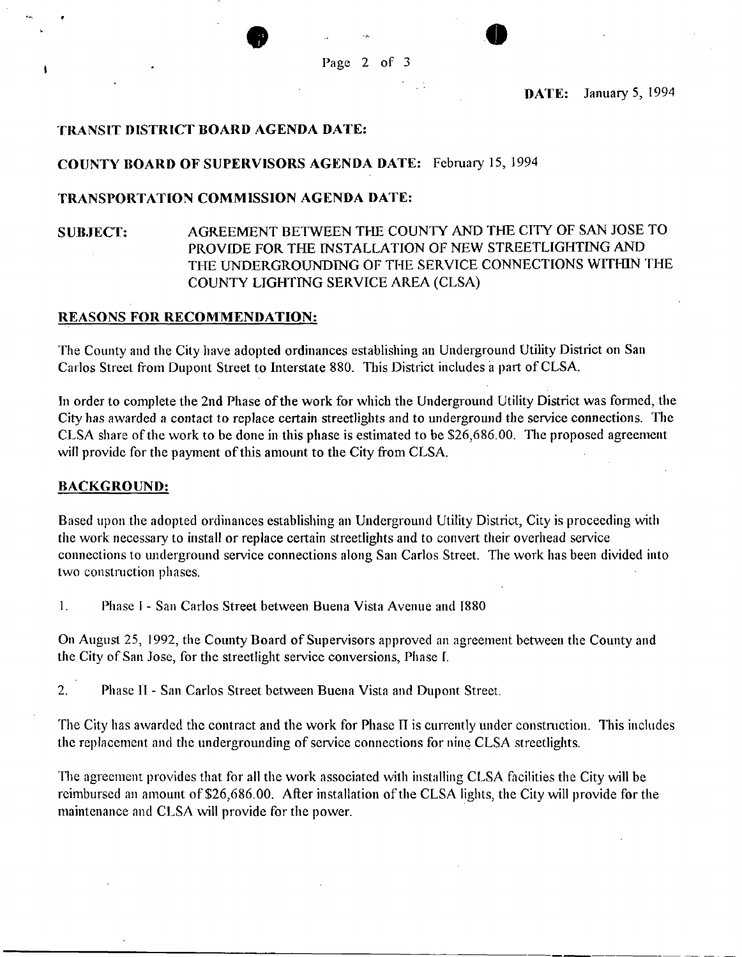**• o** 

**DATE: January 5, 1994** 

## **TRANSIT DISTRICT BOARD AGENDA DATE:**

## **COUNTY BOARD OF SUPERVISORS AGENDA DATE:** February 15, 1994

## **TRANSPORTATION COMMISSION AGENDA DATE:**

## SUBJECT: AGREEMENT BETWEEN THE COUNTY AND THE CITY OF SAN JOSE TO PROVIDE FOR THE INSTALLATION OF NEW STREETLIGHTING AND THE UNDERGROUNDING OF THE SERVICE CONNECTIONS WITHIN THE COUNTY LIGHTING SERVICE AREA (CLSA)

## **REASONS FOR RECOMMENDATION:**

The County and the City have adopted ordinances establishing an Underground Utility District on San Carlos Street from Dupont Street to Interstate 880. This District includes a part of CLSA.

In order to complete the 2nd Phase of the work for which the Underground Utility District was formed, the City has awarded a contact to replace certain streetlights and to underground the service connections. The CLSA share of the work to be done in this phase is estimated to be \$26,686.00. The proposed agreement will provide for the payment of this amount to the City from CLSA.

## **BACKGROUND:**

 $\mathbf{I}$ 

Based upon the adopted ordinances establishing an Underground Utility District, City is proceeding with the work necessary to install or replace certain streetlights and to convert their overhead service connections to underground service connections along San Carlos Street. The work has been divided into two construction phases.

1. Phase I - San Carlos Street between Buena Vista Avenue and 1880

On August 25, 1992, the County Board of Supervisors approved an agreement between the County and the City of San Jose, for the streetlight service conversions, Phase I.

2. Phase IT - San Carlos Street between Buena Vista and Dupont Street.

The City has awarded the contract and the work for Phase II is currently under construction. This includes the replacement and the undergrounding of service connections for nine CLSA streetlights.

The agreement provides that for all the work associated with installing CLSA facilities the City will be reimbursed an amount of \$26,686.00. After installation of the CLSA lights, the City will provide for the maintenance and CLSA will provide for the power.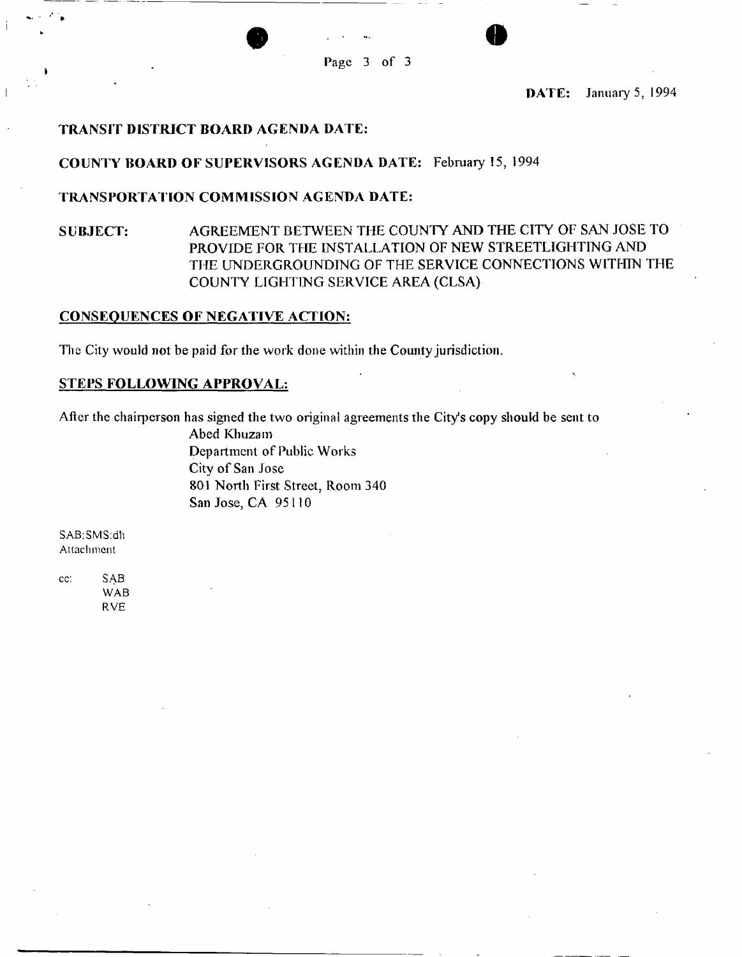Page 3 of 3

**• o** 

DATE: January 5, 1994

## TRANSIT DISTRICT BOARD AGENDA DATE:

## COUNTY BOARD OF SUPERVISORS AGENDA DATE: February 15, 1994

## TRANSPORTATION COMMISSION AGENDA DATE:

## SUBJECT: AGREEMENT BETWEEN THE COUNTY AND THE CITY OF SAN JOSE TO PROVIDE FOR THE INSTALLATION OF NEW STREETLIGHTING AND THE UNDERGROUNDING OF THE SERVICE CONNECTIONS WITHIN THE COUNTY LIGHTING SERVICE AREA (CLSA)

## CONSEQUENCES OF NEGATIVE ACTION:

The City would not be paid for the work done within the County jurisdiction.

## STEPS FOLLOWING APPROVAL:

After the chairperson has signed the two original agreements the City's copy should be sent to

Abed Khuzam Department of Public Works City of San Jose 801 North First Street, Room 340 San Jose, CA 95110

SAB:SMS:dh Attachment

cc: SAB WAB RVE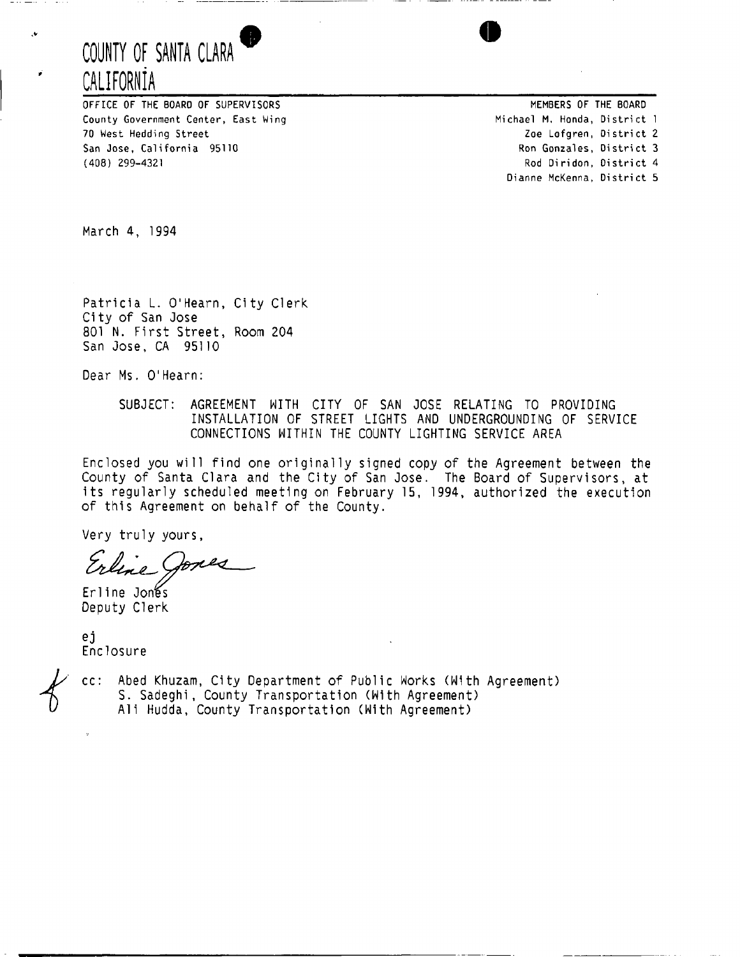## **COUNTY OF SANTA CLARA 9 CALIFORNIA**

OFFICE OF THE BOARD OF SUPERVISORS County Government Center, East Wing 70 West Hedding Street San Jose, California 95110 (408) 299-4321

MEMBERS OF THE BOARD Michael M. Honda, District 1 Zoe Lofgren, District 2 Ron Gonzales, District 3 Rod Di ridon, District 4 Dianne McKenna, District 5

March 4, 1994

.v

Patricia L. O'Hearn, City Clerk City of San Jose 801 N. First Street, Room 204 San Jose, CA 95110

Dear Ms. O'Hearn:

SUBJECT: AGREEMENT WITH CITY OF SAN JOSE RELATING TO PROVIDING INSTALLATION OF STREET LIGHTS AND UNDERGROUNDING OF SERVICE CONNECTIONS WITHIN THE COUNTY LIGHTING SERVICE AREA

Enclosed you will find one originally signed copy of the Agreement between the County of Santa Clara and the City of San Jose. The Board of Supervisors, at its regularly scheduled meeting on February 15, 1994, authorized the execution of this Agreement on behalf of the County.

Very truly yours,

Erline Jones Deputy Clerk

ej<br>Enclosure Enclosure de

cc: Abed Khuzam, City Department of Public Works (With Agreement) S. Sadeghi, County Transportation (With Agreement) Ali Hudda, County Transportation (With Agreement)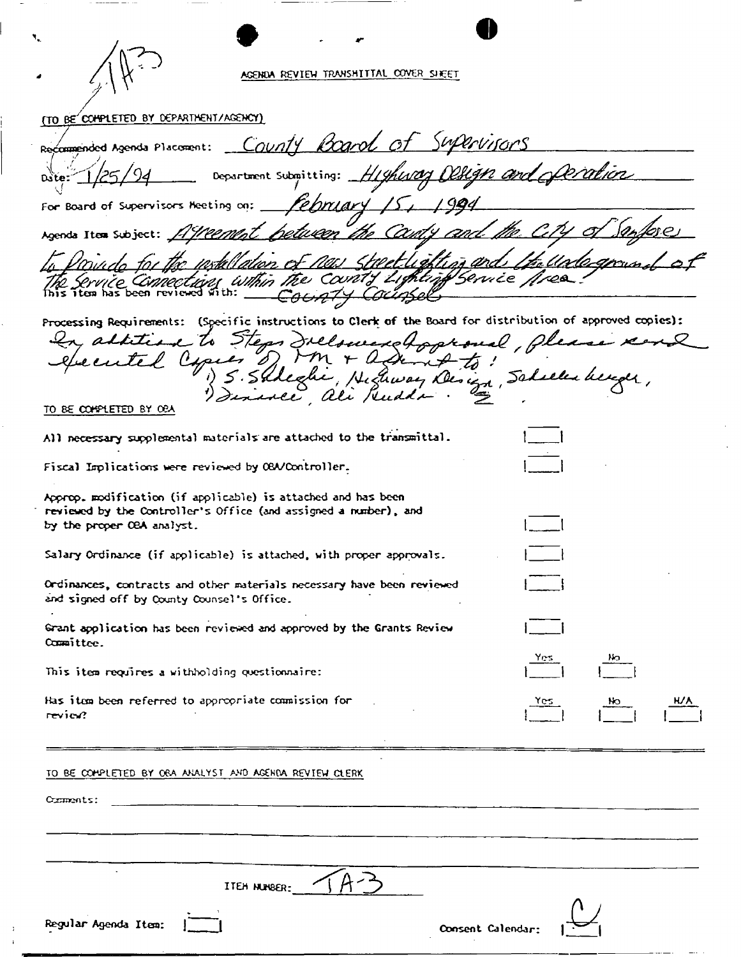|                                                                                             | AGENDA REVIEW TRANSMITTAL COVER SHEET                                                                                                     |                   |  |
|---------------------------------------------------------------------------------------------|-------------------------------------------------------------------------------------------------------------------------------------------|-------------------|--|
| (TO BE COMPLETED BY DEPARTMENT/AGENCY)                                                      |                                                                                                                                           |                   |  |
|                                                                                             | Recommended Agenda Placement: County Board of Supervisors                                                                                 |                   |  |
| 1/25/94                                                                                     | Department submitting: Higherory Delign and operation                                                                                     |                   |  |
|                                                                                             | For Board of Supervisors Meeting on: Mehrlary 15, 1994                                                                                    |                   |  |
|                                                                                             | Agenda Item Subject: 11 Weement helween the County                                                                                        |                   |  |
|                                                                                             | lation of new streetlighting and<br>The Service Connections within the County Lighting Service fires<br>$\epsilon$ oon $74$               | ti. Unlegn        |  |
|                                                                                             | Processing Requirements: (Specific instructions to Clerk of the Board for distribution of approved copies):                               |                   |  |
|                                                                                             | In addition to Steps Incloud approved, please to<br>executed Capier of MM + adam & to!<br>1) S. Shkedhe, Hichway Deniza, Scheller berger, |                   |  |
| <u>TO BE COMPLETED BY OBA</u>                                                               |                                                                                                                                           |                   |  |
|                                                                                             | All necessary supplemental materials are attached to the transmittal.                                                                     |                   |  |
| Fiscal Implications were reviewed by OBA/Controller.                                        |                                                                                                                                           |                   |  |
| Approp. modification (if applicable) is attached and has been<br>by the proper OBA analyst. | reviewed by the Controller's Office (and assigned a number), and                                                                          |                   |  |
|                                                                                             | Salary Ordinance (if applicable) is attached, with proper approvals.                                                                      |                   |  |
| and signed off by County Counsel's Office.                                                  | Ordinances, contracts and other materials necessary have been reviewed                                                                    |                   |  |
| Committee.                                                                                  | Grant application has been reviewed and approved by the Grants Review                                                                     |                   |  |
| This item requires a withholding questionnaire:                                             |                                                                                                                                           | Yes.              |  |
| Has item been referred to appropriate commission for                                        |                                                                                                                                           |                   |  |
| review?                                                                                     |                                                                                                                                           |                   |  |
| TO BE COMPLETED BY ORA ANALYST AND AGENDA REVIEW CLERK                                      |                                                                                                                                           |                   |  |
| Comments:                                                                                   |                                                                                                                                           |                   |  |
|                                                                                             |                                                                                                                                           |                   |  |
|                                                                                             |                                                                                                                                           |                   |  |
|                                                                                             | ITEH NUNBER:                                                                                                                              |                   |  |
| Regular Agenda Item:                                                                        |                                                                                                                                           | Consent Calendar: |  |

r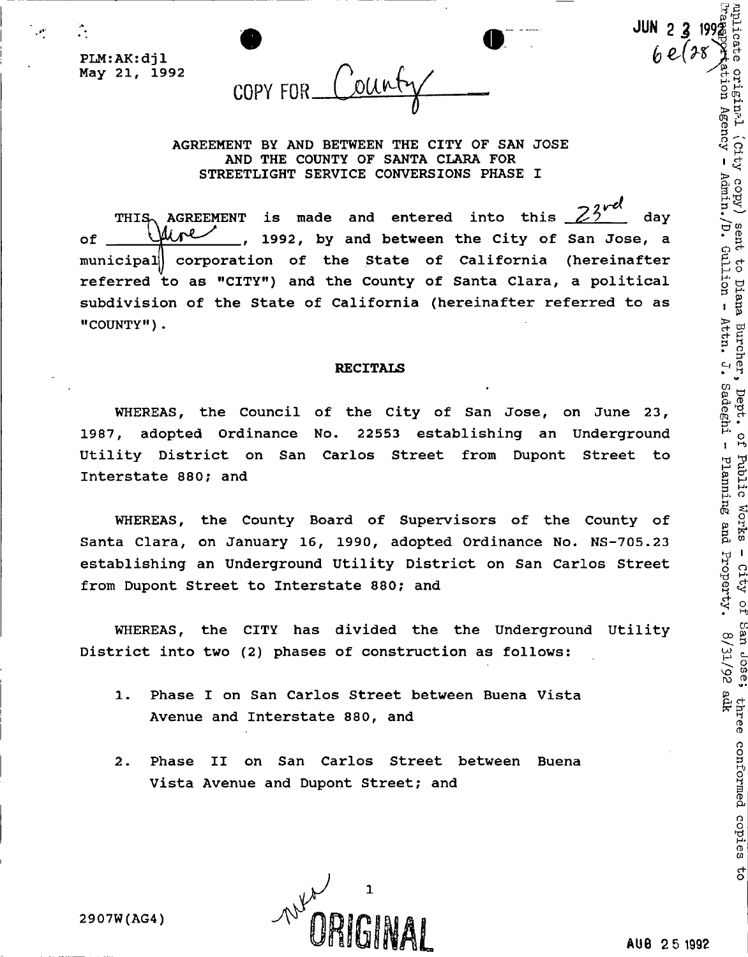**0 179 179 189 189 189 189 189 189 189 189 189 189 189 189 189 189 189 189 189 189 189 189 189 189 189 189 189 189 189 189 189 189 189 189 189 189 1** 

PLM:AK:djl **May 21, 1992** 

 $\hat{\mathbf{r}}$ 

Count COPY FOR

**AGREEMENT BY AND BETWEEN THE CITY OF SAN JOSE AND THE COUNTY OF SANTA CLARA FOR STREETLIGHT SERVICE CONVERSIONS PHASE I** 

THIS<sub>2</sub> AGREEMENT is made and entered into this  $\angle 5$  day of Wire 1992, by and between the City of San Jose, a **municipal] corporation of the State of California (hereinafter referred to as "CITY") and the County of Santa Clara, a political subdivision of the State of California (hereinafter referred to as "COUNTY").** 

### **RECITALS**

**WHEREAS, the Council of the City of San Jose, on June 23, 1987, adopted Ordinance No. 22553 establishing an Underground Utility District on San Carlos Street from Dupont Street to Interstate 880; and** 

**WHEREAS, the County Board of Supervisors of the County of Santa Clara, on January 16, 1990, adopted Ordinance No. NS-705.23 establishing an Underground Utility District on San Carlos Street**<br> **from Dupont Street to Interstate 880; and**<br>
WHEREAS, the CITY has divided the the Underground Utility<br>
District into two (2) phases of construction as f from Dupont Street to Interstate 880; and

WHEREAS, the CITY has divided the the Underground Utility<br>
rict into two (2) phases of construction as follows:<br>
1. Phase I on San Carlos Street between Buena Vista<br>
2. Phase I on San Carlos Street between Buena Vista<br>
2. **District into two (2) phases of construction as follows:** 

- **1. Phase I on San Carlos Street between Buena Vista Avenue and Interstate 880, and**
- **2. Phase II on San Carlos Street between Buena Vista Avenue and Dupont Street; and**

**2907W(AG4)** 

TJ 1

(City copy) sent to Diana Burcher,

Dept. of

Public Works

**4 o** 

three conformed copies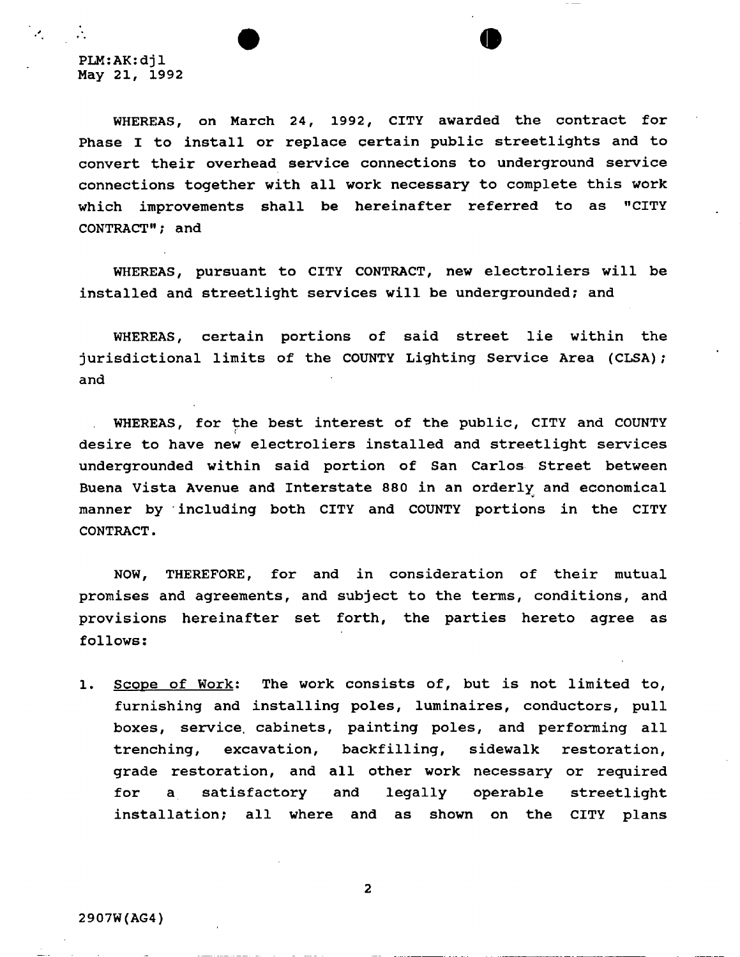**WHEREAS, on March 24, 1992, CITY awarded the contract for Phase I to install or replace certain public streetlights and to convert their overhead service connections to underground service connections together with all work necessary to complete this work which improvements shall be hereinafter referred to as "CITY CONTRACT"; and** 

**WHEREAS, pursuant to CITY CONTRACT, new electroliers will be installed and streetlight services will be undergrounded; and** 

**WHEREAS, certain portions of said street lie within the jurisdictional limits of the COUNTY Lighting Service Area (CLSA)? and** 

**WHEREAS, for the best interest of the public, CITY and COUNTY desire to have new electroliers installed and streetlight services undergrounded within said portion of San Carlos Street between Buena Vista Avenue and Interstate 880 in an orderly and economical manner by including both CITY and COUNTY portions in the CITY CONTRACT.** 

**NOW, THEREFORE, for and in consideration of their mutual promises and agreements, and subject to the terms, conditions, and provisions hereinafter set forth, the parties hereto agree as follows:** 

**1. Scope of Work; The work consists of, but is not limited to, furnishing and installing poles, luminaires, conductors, pull boxes, service, cabinets, painting poles, and performing all trenching, excavation, backfilling, sidewalk restoration, grade restoration, and all other work necessary or required for a satisfactory and legally operable streetlight installation? all where and as shown on the CITY plans** 

**2**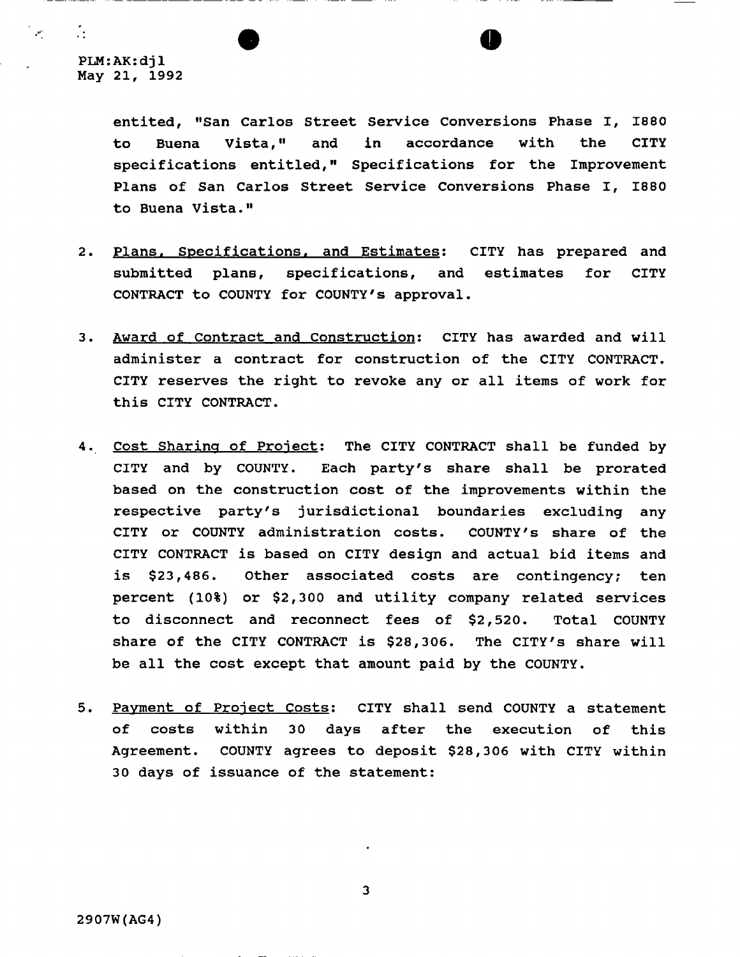$\mathbb{R}$ 

**entited, "San Carlos Street Service Conversions Phase I, 1880 to Buena Vista," and in accordance with the CITY specifications entitled," Specifications for the Improvement Plans of San Carlos Street Service Conversions Phase I, 1880 to Buena Vista."** 

- **2. Plans, Specifications, and Estimates: CITY has prepared and submitted plans, specifications, and estimates for CITY CONTRACT to COUNTY for COUNTY**'S **approval.**
- **3. Award of Contract and Construction: CITY has awarded and will administer a contract for construction of the CITY CONTRACT. CITY reserves the right to revoke any or all items of work for this CITY CONTRACT.**
- **4. Cost Sharing of Project: The CITY CONTRACT shall be funded by CITY and by COUNTY. Each party's share shall be prorated based on the construction cost of the improvements within the respective party's jurisdictional boundaries excluding any CITY or COUNTY administration costs. COUNTY's share of the CITY CONTRACT is based on CITY design and actual bid items and is \$23,486. Other associated costs are contingency; ten percent (10%) or \$2,300 and utility company related services to disconnect and reconnect fees of \$2,520. Total COUNTY share of the CITY CONTRACT is \$28,306. The CITY'S share will be all the cost except that amount paid by the COUNTY.**
- **5. Payment of Project Costs: CITY shall send COUNTY a statement**  of costs within 30 days after the execution of this **Agreement. COUNTY agrees to deposit \$28,306 with CITY within 30 days of issuance of the statement:**

**3**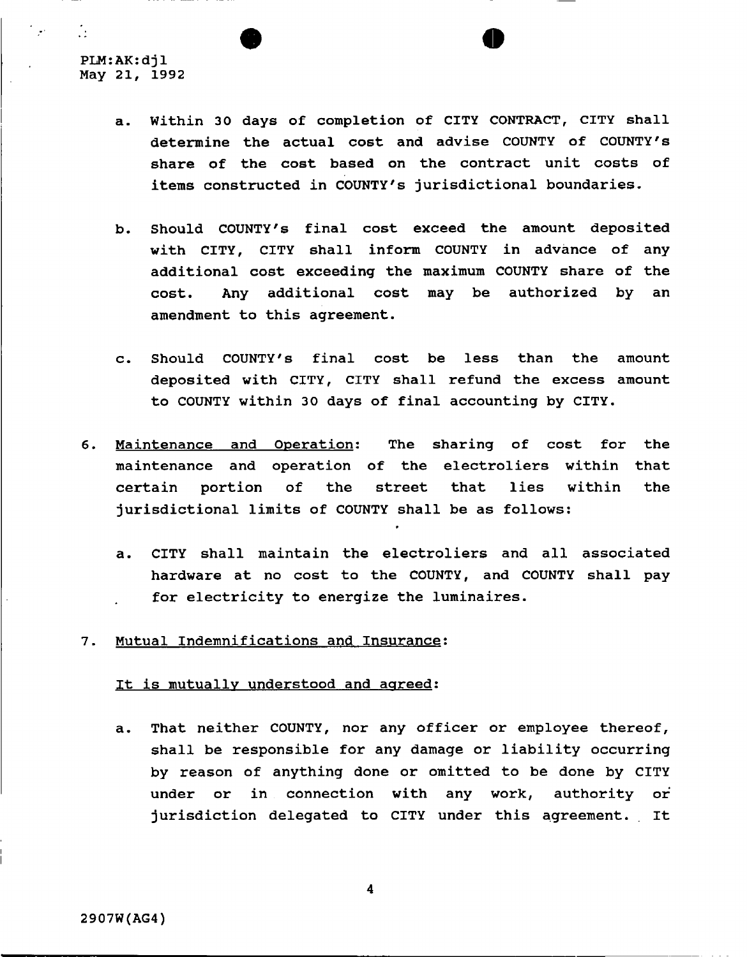$\mathcal{L}$ 

**a. Within 30 days of completion of CITY CONTRACT, CITY shall determine the actual cost and advise COUNTY of COUNTY**'S **share of the cost based on the contract unit costs of items constructed in COUNTY'S jurisdictional boundaries,** 

**• o** 

- **b. Should COUNTY**'S **final cost exceed the amount deposited with CITY, CITY shall inform COUNTY in advance of any additional cost exceeding the maximum COUNTY share of the cost. Any additional cost may be authorized by an**  amendment to this agreement.
- **c. Should COUNTY**'S **final cost be less than the amount deposited with CITY, CITY shall refund the excess amount to COUNTY within 30 days of final accounting by CITY.**
- **6. Maintenance and Operation; The sharing of cost for the maintenance and operation of the electroliers within that certain portion of the street that lies within the jurisdictional limits of COUNTY shall be as follows:** 
	- **a. CITY shall maintain the electroliers and all associated hardware at no cost to the COUNTY, and COUNTY shall pay for electricity to energize the luminaires.**
- **7. Mutual Indemnifications and Insurance:**

## **It is mutually understood and agreed:**

**a. That neither COUNTY, nor any officer or employee thereof, shall be responsible for any damage or liability occurring by reason of anything done or omitted to be done by CITY under or in connection with any work, authority or jurisdiction delegated to CITY under this agreement. It**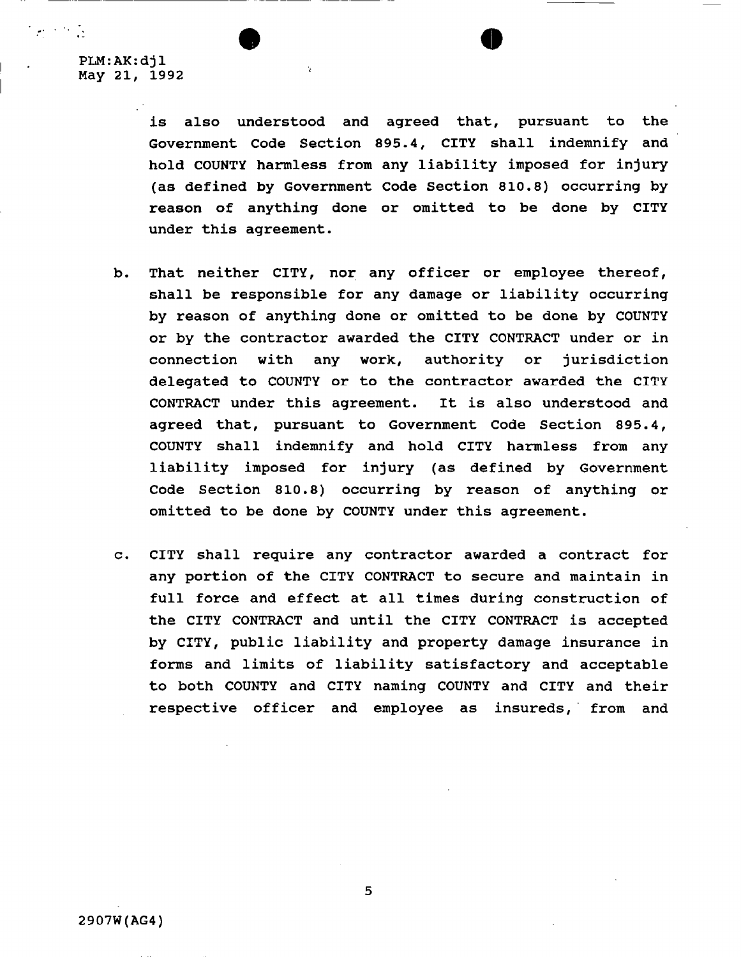$\sim 10^{-1}$ 

**is also understood and agreed that, pursuant to the Government Code Section 895.4, CITY shall indemnify and hold COUNTY harmless from any liability imposed for injury (as defined by Government Code Section 810.8) occurring by reason of anything done or omitted to be done by CITY under this agreement.** 

- **b. That neither CITY, nor any officer or employee thereof, shall be responsible for any damage or liability occurring by reason of anything done or omitted to be done by COUNTY or by the contractor awarded the CITY CONTRACT under or in connection with any work, authority or jurisdiction delegated to COUNTY or to the contractor awarded the CITY CONTRACT under this agreement. It is also understood and agreed that, pursuant to Government Code Section 895.4, COUNTY shall indemnify and hold CITY harmless from any liability imposed for injury (as defined by Government Code Section 810.8) occurring by reason of anything or omitted to be done by COUNTY under this agreement.**
- **c. CITY shall require any contractor awarded a contract for any portion of the CITY CONTRACT to secure and maintain in full force and effect at all times during construction of the CITY CONTRACT and until the CITY CONTRACT is accepted by CITY, public liability and property damage insurance in forms and limits of liability satisfactory and acceptable to both COUNTY and CITY naming COUNTY and CITY and their respective officer and employee as insureds, from and**

**5**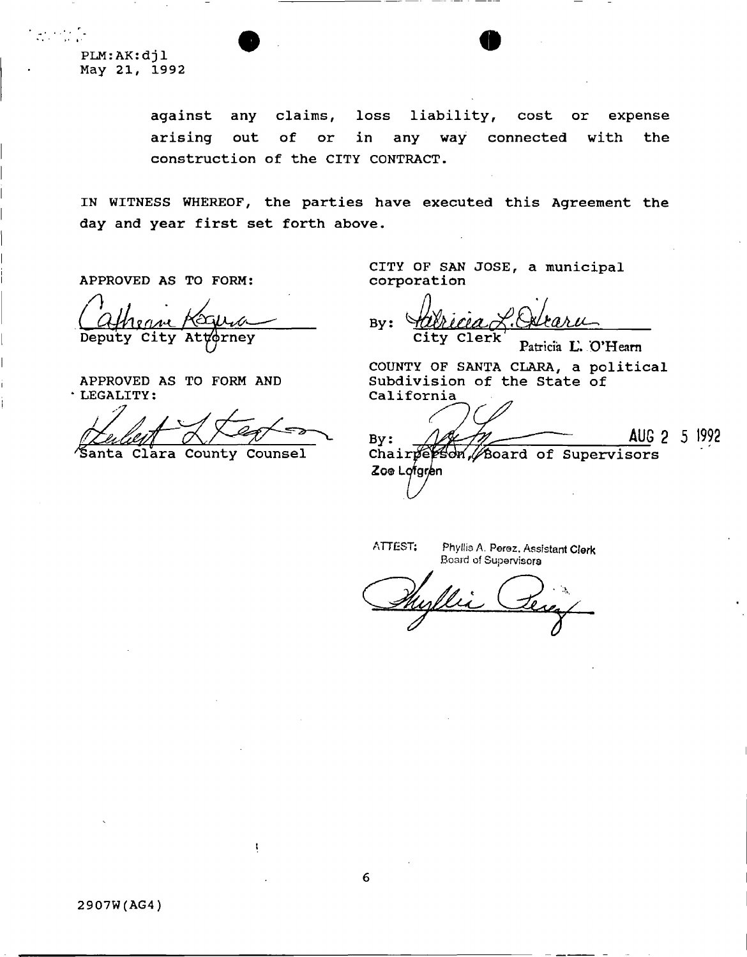**PLM:AK:djl May 21, 1992** 

> **against any claims, loss liability, cost or expense arising out of or in any way connected with the construction of the CITY CONTRACT.**

**IN WITNESS WHEREOF, the parties have executed this Agreement the day and year first set forth above.** 

**APPROVED AS TO FORM:** 

Deputy City Attorney

**APPROVED AS TO FORM AND LEGALITY:** 

**Clara County Counsel** 

**CITY OF SAN JOSE, a municipal corporation** 

**By** : **City Clerk**  Patricia **L\ O'Hearn** 

**COUNTY OF SANTA CLARA, a political Subdivision of the State of California** 

 $By:$ 

**AUG 2 5 1992** 

Chairperson, Board of Supervisors Zoe Lofgren

ATTEST: Phyllis A. Persz. Assistant **Clerk**  Board of Supervisors

**2907W(AG4)**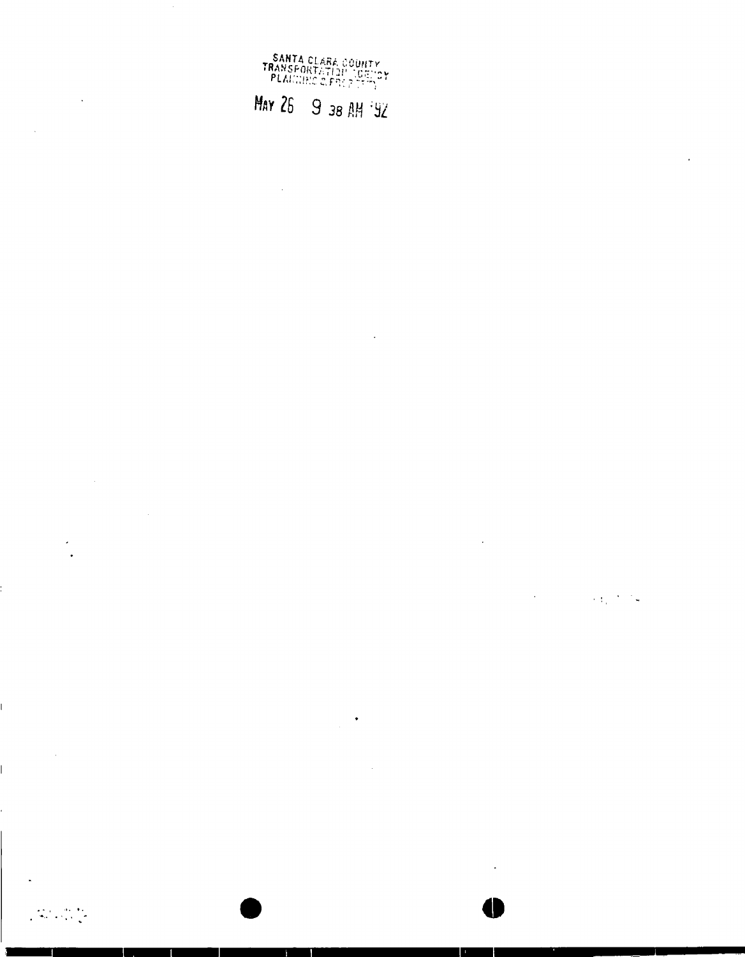

# *May 26* 9 38 AM<sup>2</sup>92

 $\sim$ 

 $\bar{z}$ 

 $\ddot{\phantom{a}}$ 

 $\bar{\mathcal{A}}$  $\mathcal{O}(\mathcal{O}_\mathcal{O})$  , and  $\mathcal{O}(\mathcal{O}_\mathcal{O})$  , and

 $\sim$   $\sim$ 

 $\langle \cdot \rangle$ 

**• o** 

 $\label{eq:2} \frac{1}{2}\sum_{i=1}^n\frac{1}{2}\sum_{i=1}^n\frac{1}{2}\sum_{i=1}^n\frac{1}{2}\sum_{i=1}^n\frac{1}{2}\sum_{i=1}^n\frac{1}{2}\sum_{i=1}^n\frac{1}{2}\sum_{i=1}^n\frac{1}{2}\sum_{i=1}^n\frac{1}{2}\sum_{i=1}^n\frac{1}{2}\sum_{i=1}^n\frac{1}{2}\sum_{i=1}^n\frac{1}{2}\sum_{i=1}^n\frac{1}{2}\sum_{i=1}^n\frac{1}{2}\sum_{i=1}^n\frac{$ 

 $\sim 100$ 

 $\sim$ 

 $\cdot$ 

**I** 

**I**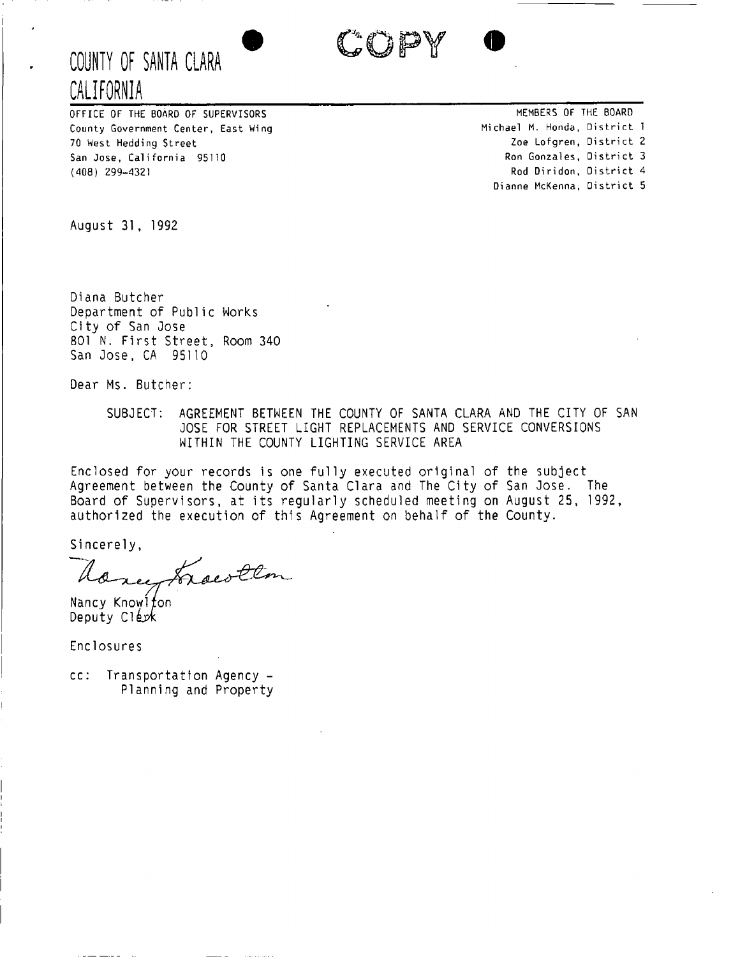



OFFICE OF THE BOARD OF SUPERVISORS County Government Center, East Wing 70 West Hedding Street San Jose, California 95110 (408) 299-4321

MEMBERS OF THE BOARD Michael M. Honda, District 1 Zoe Lofgren, District 2 Ron Gonzales, District 3 Rod Diridon, District 4 Dianne McKenna, District 5

August 31, 1992

Diana Butcher Department of Public Works Ci ty of San Jose 801 N. First Street, Room 340 San Jose, CA 95110

Dear Ms. Butcher:

SUBJECT: AGREEMENT BETWEEN THE COUNTY OF SANTA CLARA AND THE CITY OF SAN JOSE FOR STREET LIGHT REPLACEMENTS AND SERVICE CONVERSIONS WITHIN THE COUNTY LIGHTING SERVICE AREA

Enclosed for your records is one fully executed original of the subject Agreement between the County of Santa Clara and The City of San Jose. The Board of Supervisors, at its regularly scheduled meeting on August 25, 1992, authorized the execution of this Agreement on behalf of the County.

Sincerely,

Once, Frocotton

Nancy Knowlfon Deputy Clerk

Enclosures

cc: Transportation Agency - Planning and Property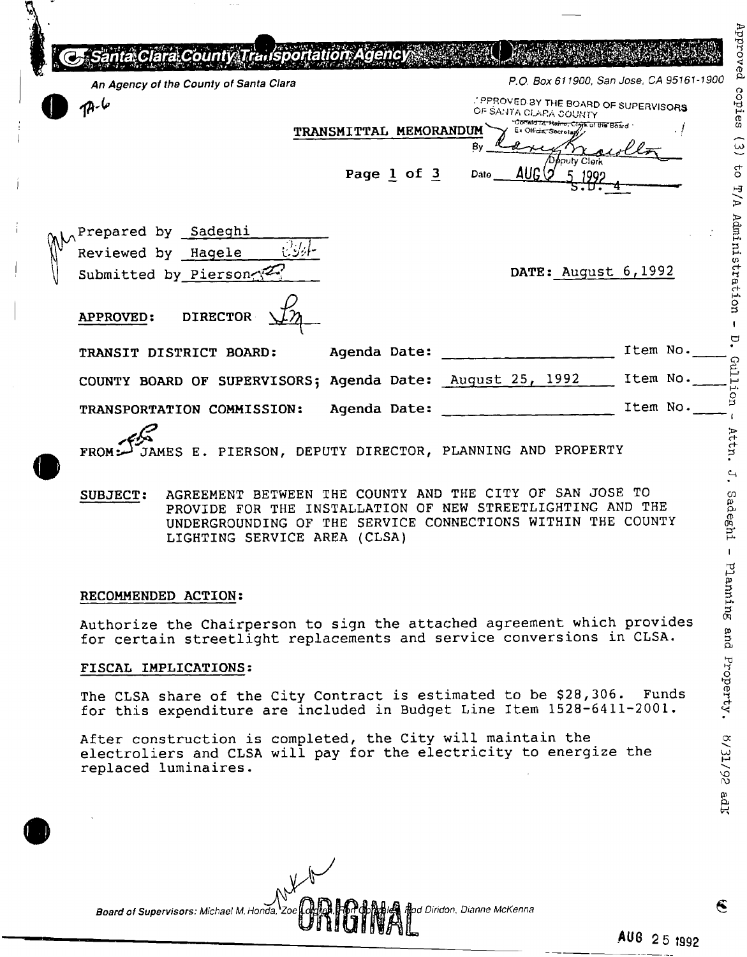| ra County Trailsportation Agency                                                                         |                        |                 |      |                                                                                                                    |                                          | Approved           |
|----------------------------------------------------------------------------------------------------------|------------------------|-----------------|------|--------------------------------------------------------------------------------------------------------------------|------------------------------------------|--------------------|
| An Agency of the County of Santa Clara                                                                   |                        |                 |      |                                                                                                                    | P.O. Box 611900, San Jose, CA 95161-1900 |                    |
|                                                                                                          |                        |                 |      | <b><i>PPROVED BY THE BOARD OF SUPERVISORS</i></b><br>OF SANTA CLARA COUNTY<br>"Donald M. Haine, Clerk of the Board |                                          | copies             |
|                                                                                                          | TRANSMITTAL MEMORANDUM |                 | Bγ   | Ex Official Secret                                                                                                 |                                          | $\widehat{\omega}$ |
|                                                                                                          |                        | Page $1$ of $3$ | Date | pputy Clerk<br><b>AUG</b>                                                                                          |                                          | $\sigma$<br>P/P    |
| Prepared by Sadeghi<br>Reviewed by Hagele<br>Submitted by Pierson<br><b>DIRECTOR</b><br><b>APPROVED:</b> |                        |                 |      | DATE: August $6,1992$                                                                                              |                                          | Administration     |
| TRANSIT DISTRICT BOARD:                                                                                  | Agenda Date:           |                 |      |                                                                                                                    | Item No.                                 |                    |
| COUNTY BOARD OF SUPERVISORS; Agenda Date: August 25, 1992                                                |                        |                 |      |                                                                                                                    | Item No.                                 | Cui <sub>1</sub>   |
| TRANSPORTATION COMMISSION:                                                                               | Agenda Date:           |                 |      |                                                                                                                    | Item No.                                 |                    |
| JAMES E. PIERSON, DEPUTY DIRECTOR, PLANNING AND PROPERTY<br>FROM                                         |                        |                 |      |                                                                                                                    |                                          | Att                |

## **SUBJECT: AGREEMENT BETWEEN THE COUNTY AND THE CITY OF SAN JOSE TO PROVIDE FOR THE INSTALLATION OF NEW STREETLIGHTING AND THE UNDERGROUNDING OF THE SERVICE CONNECTIONS WITHIN THE COUNTY LIGHTING SERVICE AREA (CLSA)**

#### **RECOMMENDED ACTION:**

**Authorize the Chairperson to sign the attached agreement which provides for certain streetlight replacements and service conversions in CLSA.** 

## **FISCAL IMPLICATIONS:**

**The CLSA share of the City Contract is estimated to be \$28,306. Funds for this expenditure are included in Budget Line Item 1528-6411-2001.** 

**After construction is completed, the City will maintain the electroliers and CLSA will pay for the electricity to energize the replaced luminaires.** 

**S/31/92 ad** 

Sadeghi - Planning and Property.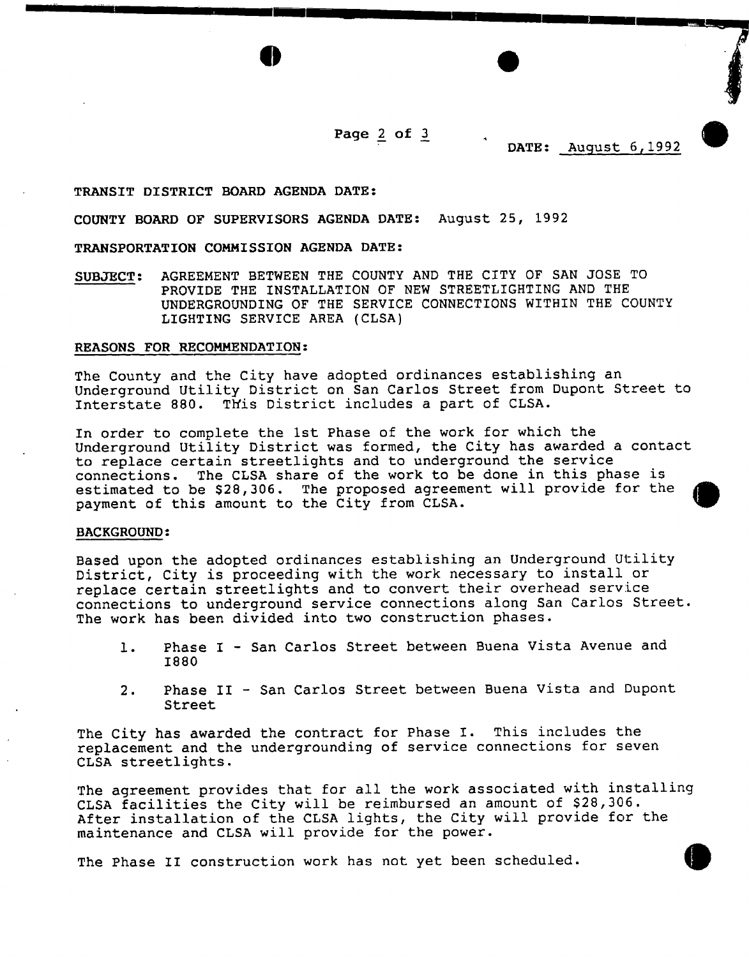**Page 2 of 3** 

**DATE: August 6,1992** 

#### **TRANSIT DISTRICT BOARD AGENDA DATE:**

**COUNTY BOARD OF SUPERVISORS AGENDA DATE: August 25, 1992** 

## **TRANSPORTATION COMMISSION AGENDA DATE:**

**SUBJECT: AGREEMENT BETWEEN THE COUNTY AND THE CITY OF SAN JOSE TO PROVIDE THE INSTALLATION OF NEW STREETLIGHTING AND THE UNDERGROUNDING OF THE SERVICE CONNECTIONS WITHIN THE COUNTY LIGHTING SERVICE AREA (CLSA)** 

#### **REASONS FOR RECOMMENDATION:**

**The County and the City have adopted ordinances establishing an Underground Utility District on San Carlos Street from Dupont Street to Interstate 880. This District includes a part of CLSA.** 

**In order to complete the 1st Phase of the work for which the Underground Utility District was formed, the City has awarded a contact to replace certain streetlights and to underground the service**  The CLSA share of the work to be done in this phase is estimated to be \$28,306. The proposed agreement will provide for the **payment of this amount to the City from CLSA.** 

#### **BACKGROUND:**

**Based upon the adopted ordinances establishing an Underground Utility District, City is proceeding with the work necessary to install or replace certain streetlights and to convert their overhead service connections to underground service connections along San Carlos Street-The work has been divided into two construction phases.** 

- **1. Phase I San Carlos Street between Buena Vista Avenue and 1880**
- **2. Phase II San Carlos Street between Buena Vista and Dupont Street**

**The City has awarded the contract for Phase I. This includes the replacement and the undergrounding of service connections for seven CLSA streetlights.** 

**The agreement provides that for all the work associated with installing CLSA facilities the City will be reimbursed an amount of \$28,306. After installation of the CLSA lights, the City will provide for the maintenance and CLSA will provide for the power.** 

The Phase II construction work has not yet been scheduled.